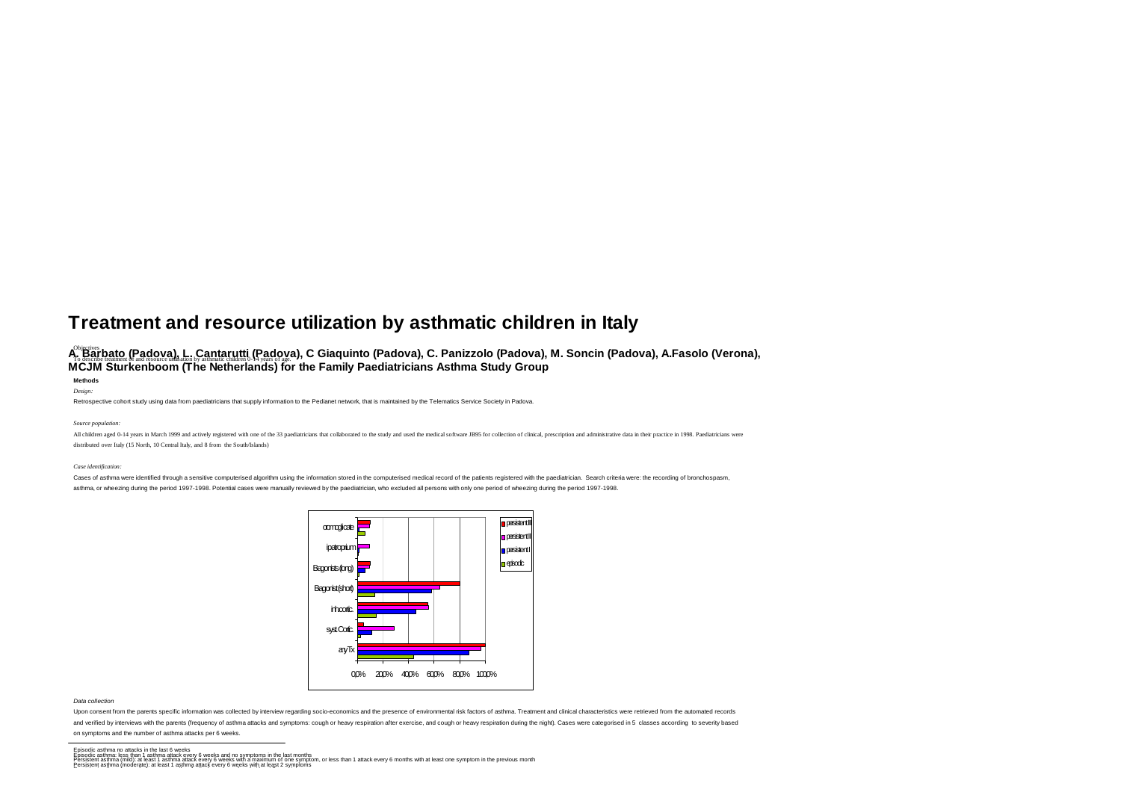# **Treatment and resource utilization by asthmatic children in Italy**

# A<sup>s</sup> Barb<u>ato (Padova), L. Cantarutti (Padov</u>a), C Giaquinto (Padova), C. Panizzolo (Padova), M. Soncin (Padova), A.Fasolo (Verona), **To describe the and resource is a matter of a** station by a straight of a general product of a structure (and re<br>MCJM Sturkenboom (The Netherlands) for the Family Paediatricians Asthma Study Group

### **Methods** *Design:*

Retrospective cohort study using data from paediatricians that supply information to the Pedianet network, that is maintained by the Telematics Service Society in Padova.

#### *Source population:*

All children aged 0-14 years in March 1999 and actively registered with one of the 33 paediatricians that collaborated to the study and used the medical software JB95 for collection of clinical, prescription and administra distributed over Italy (15 North, 10 Central Italy, and 8 from the South/Islands)

#### *Case identification:*

Cases of asthma were identified through a sensitive computerised algorithm using the information stored in the computerised medical record of the patients registered with the paediatrician. Search criteria were: the record asthma, or wheezing during the period 1997-1998. Potential cases were manually reviewed by the paediatrician, who excluded all persons with only one period of wheezing during the period 1997-1998.



#### *Data collection*

Upon consent from the parents specific information was collected by interview regarding socio-economics and the presence of environmental risk factors of asthma. Treatment and clinical characteristics were retrieved from t

and verified by interviews with the parents (frequency of asthma attacks and symptoms: cough or heavy respiration after exercise, and cough or heavy respiration during the night). Cases were categorised in 5 classes accord

## on symptoms and the number of asthma attacks per 6 weeks.

Episodic asthma no attacks in the last 6 weks<br>Episodic asthma less than 1 asthma attack every 6 weeks with a maximum of one symptom, or less than 1 attack every fixery in the previous month<br>Persistent asthma (moderate): a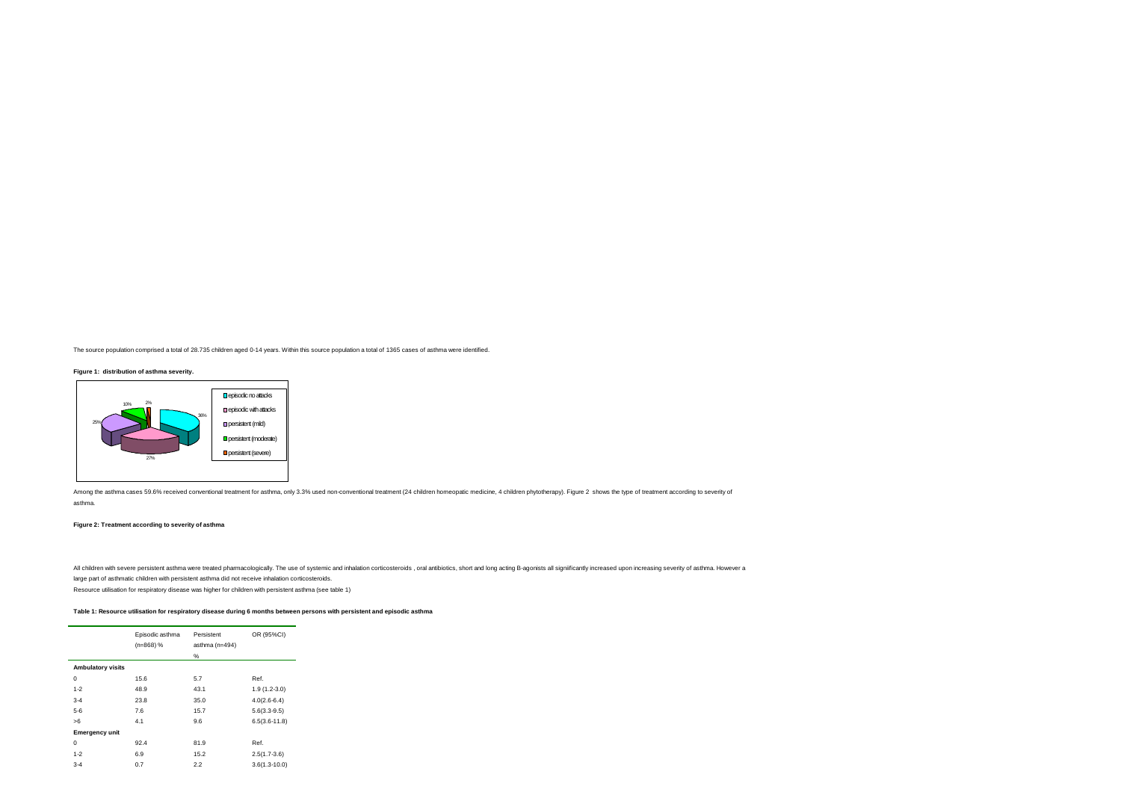The source population comprised a total of 28.735 children aged 0-14 years. Within this source population a total of 1365 cases of asthma were identified.

**Figure 1: distribution of asthma severity.** 



Among the asthma cases 59.6% received conventional treatment for asthma, only 3.3% used non-conventional treatment (24 children homeopatic medicine, 4 children phytotherapy). Figure 2 shows the type of treatment according asthma.

# **Figure 2: Treatment according to severity of asthma**

All children with severe persistent asthma were treated pharmacologically. The use of systemic and inhalation corticosteroids, oral antibiotics, short and long acting B-agonists all significantly increased upon increasing large part of asthmatic children with persistent asthma did not receive inhalation corticosteroids.

Resource utilisation for respiratory disease was higher for children with persistent asthma (see table 1)

# **Table 1: Resource utilisation for respiratory disease during 6 months between persons with persistent and episodic asthma**

|                          | Episodic asthma<br>$(n=868)$ % | Persistent<br>asthma (n=494)<br>% | OR (95%CI)        |
|--------------------------|--------------------------------|-----------------------------------|-------------------|
| <b>Ambulatory visits</b> |                                |                                   |                   |
| $\mathbf 0$              | 15.6                           | 5.7                               | Ref.              |
| $1 - 2$                  | 48.9                           | 43.1                              | $1.9(1.2-3.0)$    |
| $3 - 4$                  | 23.8                           | 35.0                              | $4.0(2.6-6.4)$    |
| $5 - 6$                  | 7.6                            | 15.7                              | $5.6(3.3-9.5)$    |
| >6                       | 4.1                            | 9.6                               | $6.5(3.6 - 11.8)$ |
| <b>Emergency unit</b>    |                                |                                   |                   |
| $\mathbf 0$              | 92.4                           | 81.9                              | Ref.              |
| $1 - 2$                  | 6.9                            | 15.2                              | $2.5(1.7-3.6)$    |
| $3 - 4$                  | 0.7                            | 2.2                               | $3.6(1.3 - 10.0)$ |